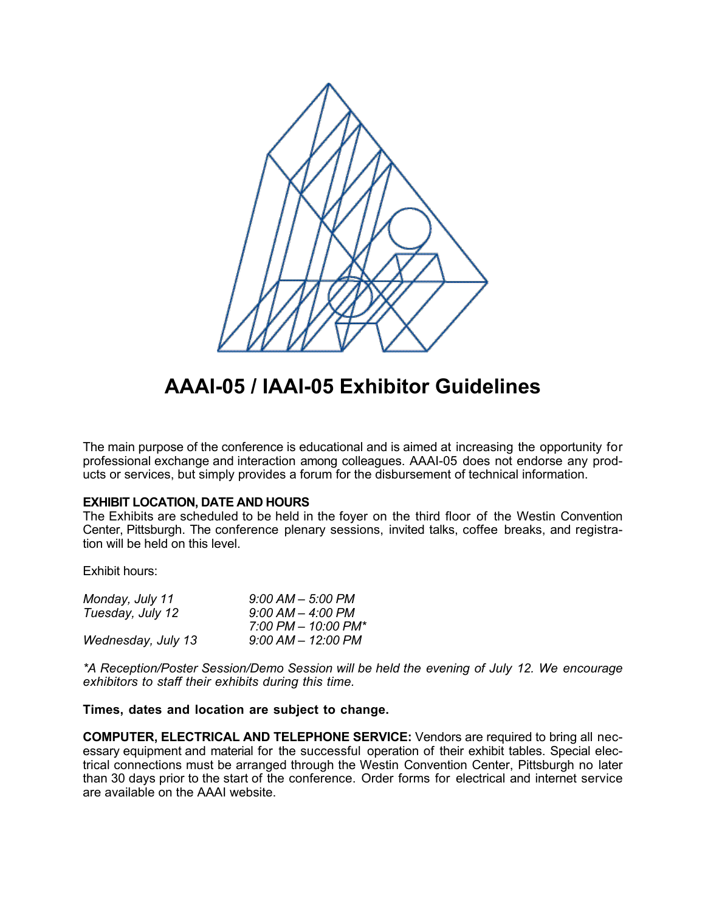

## **AAAI-05 / IAAI-05 Exhibitor Guidelines**

The main purpose of the conference is educational and is aimed at increasing the opportunity for professional exchange and interaction among colleagues. AAAI-05 does not endorse any products or services, but simply provides a forum for the disbursement of technical information.

## **EXHIBIT LOCATION, DATE AND HOURS**

The Exhibits are scheduled to be held in the foyer on the third floor of the Westin Convention Center, Pittsburgh. The conference plenary sessions, invited talks, coffee breaks, and registration will be held on this level.

Exhibit hours:

| Monday, July 11    | $9:00$ AM $-$ 5:00 PM                     |
|--------------------|-------------------------------------------|
| Tuesday, July 12   | $9:00$ AM $-$ 4:00 PM                     |
|                    | $7:00 \, \text{PM} - 10:00 \, \text{PM*}$ |
| Wednesday, July 13 | $9:00$ AM $-$ 12:00 PM                    |

*\*A Reception/Poster Session/Demo Session will be held the evening of July 12. We encourage exhibitors to staff their exhibits during this time.*

## **Times, dates and location are subject to change.**

**COMPUTER, ELECTRICAL AND TELEPHONE SERVICE:** Vendors are required to bring all necessary equipment and material for the successful operation of their exhibit tables. Special electrical connections must be arranged through the Westin Convention Center, Pittsburgh no later than 30 days prior to the start of the conference. Order forms for electrical and internet service are available on the AAAI website.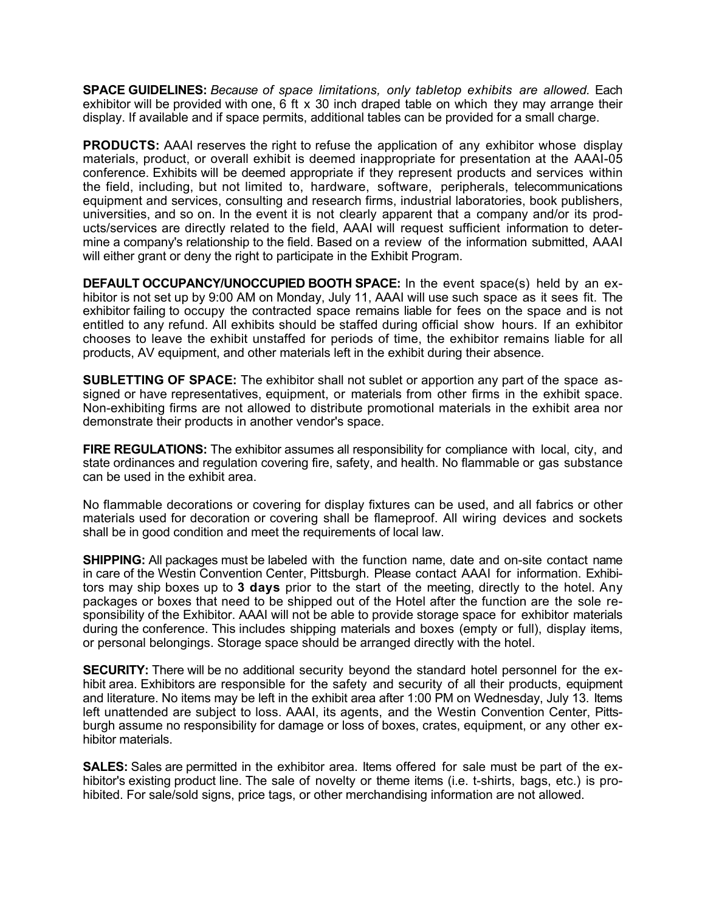**SPACE GUIDELINES:** *Because of space limitations, only tabletop exhibits are allowed.* Each exhibitor will be provided with one, 6 ft x 30 inch draped table on which they may arrange their display. If available and if space permits, additional tables can be provided for a small charge.

**PRODUCTS:** AAAI reserves the right to refuse the application of any exhibitor whose display materials, product, or overall exhibit is deemed inappropriate for presentation at the AAAI-05 conference. Exhibits will be deemed appropriate if they represent products and services within the field, including, but not limited to, hardware, software, peripherals, telecommunications equipment and services, consulting and research firms, industrial laboratories, book publishers, universities, and so on. In the event it is not clearly apparent that a company and/or its products/services are directly related to the field, AAAI will request sufficient information to determine a company's relationship to the field. Based on a review of the information submitted, AAAI will either grant or deny the right to participate in the Exhibit Program.

**DEFAULT OCCUPANCY/UNOCCUPIED BOOTH SPACE:** In the event space(s) held by an exhibitor is not set up by 9:00 AM on Monday, July 11, AAAI will use such space as it sees fit. The exhibitor failing to occupy the contracted space remains liable for fees on the space and is not entitled to any refund. All exhibits should be staffed during official show hours. If an exhibitor chooses to leave the exhibit unstaffed for periods of time, the exhibitor remains liable for all products, AV equipment, and other materials left in the exhibit during their absence.

**SUBLETTING OF SPACE:** The exhibitor shall not sublet or apportion any part of the space assigned or have representatives, equipment, or materials from other firms in the exhibit space. Non-exhibiting firms are not allowed to distribute promotional materials in the exhibit area nor demonstrate their products in another vendor's space.

**FIRE REGULATIONS:** The exhibitor assumes all responsibility for compliance with local, city, and state ordinances and regulation covering fire, safety, and health. No flammable or gas substance can be used in the exhibit area.

No flammable decorations or covering for display fixtures can be used, and all fabrics or other materials used for decoration or covering shall be flameproof. All wiring devices and sockets shall be in good condition and meet the requirements of local law.

**SHIPPING:** All packages must be labeled with the function name, date and on-site contact name in care of the Westin Convention Center, Pittsburgh. Please contact AAAI for information. Exhibitors may ship boxes up to **3 days** prior to the start of the meeting, directly to the hotel. Any packages or boxes that need to be shipped out of the Hotel after the function are the sole responsibility of the Exhibitor. AAAI will not be able to provide storage space for exhibitor materials during the conference. This includes shipping materials and boxes (empty or full), display items, or personal belongings. Storage space should be arranged directly with the hotel.

**SECURITY:** There will be no additional security beyond the standard hotel personnel for the exhibit area. Exhibitors are responsible for the safety and security of all their products, equipment and literature. No items may be left in the exhibit area after 1:00 PM on Wednesday, July 13. Items left unattended are subject to loss. AAAI, its agents, and the Westin Convention Center, Pittsburgh assume no responsibility for damage or loss of boxes, crates, equipment, or any other exhibitor materials.

**SALES:** Sales are permitted in the exhibitor area. Items offered for sale must be part of the exhibitor's existing product line. The sale of novelty or theme items (i.e. t-shirts, bags, etc.) is prohibited. For sale/sold signs, price tags, or other merchandising information are not allowed.